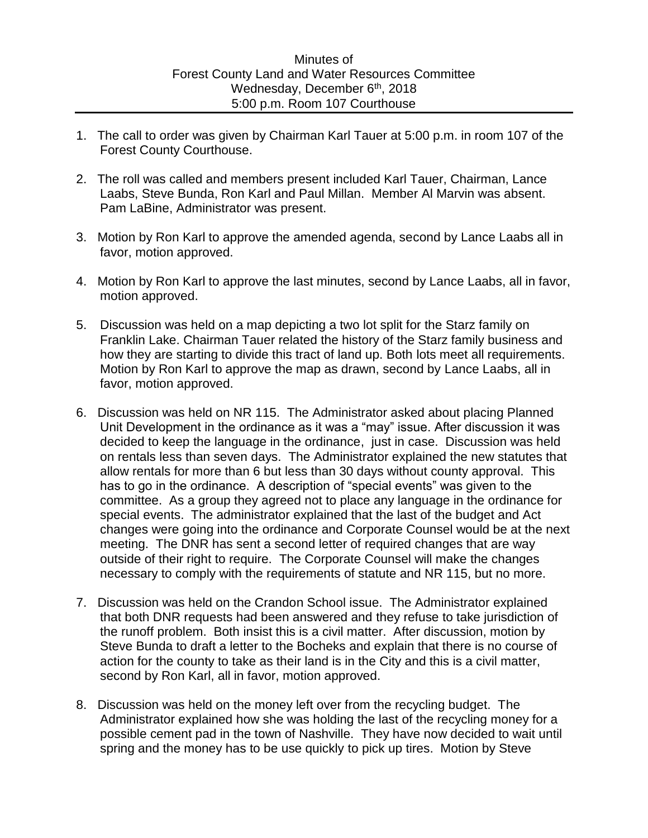- 1. The call to order was given by Chairman Karl Tauer at 5:00 p.m. in room 107 of the Forest County Courthouse.
- 2. The roll was called and members present included Karl Tauer, Chairman, Lance Laabs, Steve Bunda, Ron Karl and Paul Millan. Member Al Marvin was absent. Pam LaBine, Administrator was present.
- 3. Motion by Ron Karl to approve the amended agenda, second by Lance Laabs all in favor, motion approved.
- 4. Motion by Ron Karl to approve the last minutes, second by Lance Laabs, all in favor, motion approved.
- 5. Discussion was held on a map depicting a two lot split for the Starz family on Franklin Lake. Chairman Tauer related the history of the Starz family business and how they are starting to divide this tract of land up. Both lots meet all requirements. Motion by Ron Karl to approve the map as drawn, second by Lance Laabs, all in favor, motion approved.
- 6. Discussion was held on NR 115. The Administrator asked about placing Planned Unit Development in the ordinance as it was a "may" issue. After discussion it was decided to keep the language in the ordinance, just in case. Discussion was held on rentals less than seven days. The Administrator explained the new statutes that allow rentals for more than 6 but less than 30 days without county approval. This has to go in the ordinance. A description of "special events" was given to the committee. As a group they agreed not to place any language in the ordinance for special events. The administrator explained that the last of the budget and Act changes were going into the ordinance and Corporate Counsel would be at the next meeting. The DNR has sent a second letter of required changes that are way outside of their right to require. The Corporate Counsel will make the changes necessary to comply with the requirements of statute and NR 115, but no more.
- 7. Discussion was held on the Crandon School issue. The Administrator explained that both DNR requests had been answered and they refuse to take jurisdiction of the runoff problem. Both insist this is a civil matter. After discussion, motion by Steve Bunda to draft a letter to the Bocheks and explain that there is no course of action for the county to take as their land is in the City and this is a civil matter, second by Ron Karl, all in favor, motion approved.
- 8. Discussion was held on the money left over from the recycling budget. The Administrator explained how she was holding the last of the recycling money for a possible cement pad in the town of Nashville. They have now decided to wait until spring and the money has to be use quickly to pick up tires. Motion by Steve